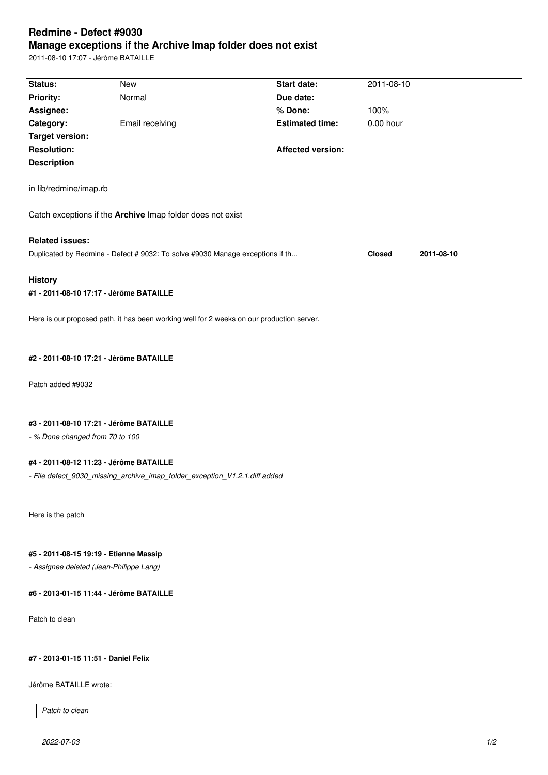# **Redmine - Defect #9030 Manage exceptions if the Archive Imap folder does not exist**

2011-08-10 17:07 - Jérôme BATAILLE

| Status:                                                                       | <b>New</b>      | <b>Start date:</b>       | 2011-08-10    |            |
|-------------------------------------------------------------------------------|-----------------|--------------------------|---------------|------------|
| <b>Priority:</b>                                                              | Normal          | Due date:                |               |            |
| Assignee:                                                                     |                 | % Done:                  | 100%          |            |
| Category:                                                                     | Email receiving | <b>Estimated time:</b>   | $0.00$ hour   |            |
| Target version:                                                               |                 |                          |               |            |
| <b>Resolution:</b>                                                            |                 | <b>Affected version:</b> |               |            |
| <b>Description</b>                                                            |                 |                          |               |            |
| in lib/redmine/imap.rb                                                        |                 |                          |               |            |
| Catch exceptions if the <b>Archive</b> Imap folder does not exist             |                 |                          |               |            |
|                                                                               |                 |                          |               |            |
| <b>Related issues:</b>                                                        |                 |                          |               |            |
| Duplicated by Redmine - Defect # 9032: To solve #9030 Manage exceptions if th |                 |                          | <b>Closed</b> | 2011-08-10 |
|                                                                               |                 |                          |               |            |

## **History**

## **#1 - 2011-08-10 17:17 - Jérôme BATAILLE**

Here is our proposed path, it has been working well for 2 weeks on our production server.

## **#2 - 2011-08-10 17:21 - Jérôme BATAILLE**

Patch added #9032

### **#3 - 2011-08-10 17:21 - Jérôme BATAILLE**

*- % Done changed from 70 to 100*

#### **#4 - 2011-08-12 11:23 - Jérôme BATAILLE**

*- File defect\_9030\_missing\_archive\_imap\_folder\_exception\_V1.2.1.diff added*

Here is the patch

## **#5 - 2011-08-15 19:19 - Etienne Massip**

*- Assignee deleted (Jean-Philippe Lang)*

**#6 - 2013-01-15 11:44 - Jérôme BATAILLE**

Patch to clean

## **#7 - 2013-01-15 11:51 - Daniel Felix**

Jérôme BATAILLE wrote:

*Patch to clean*